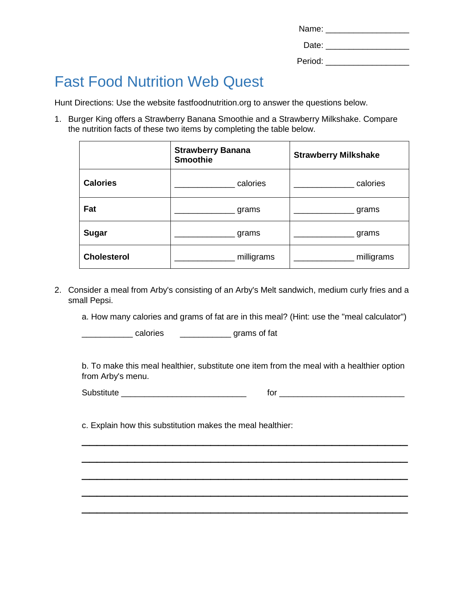| Name:   |  |
|---------|--|
| Date:   |  |
| Period: |  |

## Fast Food Nutrition Web Quest

Hunt Directions: Use the website fastfoodnutrition.org to answer the questions below.

1. Burger King offers a Strawberry Banana Smoothie and a Strawberry Milkshake. Compare the nutrition facts of these two items by completing the table below.

|                    | <b>Strawberry Banana</b><br><b>Smoothie</b> | <b>Strawberry Milkshake</b> |
|--------------------|---------------------------------------------|-----------------------------|
| <b>Calories</b>    | calories                                    | calories                    |
| Fat                | grams                                       | grams                       |
| <b>Sugar</b>       | grams                                       | grams                       |
| <b>Cholesterol</b> | milligrams                                  | milligrams                  |

2. Consider a meal from Arby's consisting of an Arby's Melt sandwich, medium curly fries and a small Pepsi.

a. How many calories and grams of fat are in this meal? (Hint: use the "meal calculator")

\_\_\_\_\_\_\_\_\_\_\_ calories \_\_\_\_\_\_\_\_\_\_\_ grams of fat

b. To make this meal healthier, substitute one item from the meal with a healthier option from Arby's menu.

\_\_\_\_\_\_\_\_\_\_\_\_\_\_\_\_\_\_\_\_\_\_\_\_\_\_\_\_\_\_\_\_\_\_\_\_\_\_\_\_\_\_\_

\_\_\_\_\_\_\_\_\_\_\_\_\_\_\_\_\_\_\_\_\_\_\_\_\_\_\_\_\_\_\_\_\_\_\_\_\_\_\_\_\_\_\_

\_\_\_\_\_\_\_\_\_\_\_\_\_\_\_\_\_\_\_\_\_\_\_\_\_\_\_\_\_\_\_\_\_\_\_\_\_\_\_\_\_\_\_

\_\_\_\_\_\_\_\_\_\_\_\_\_\_\_\_\_\_\_\_\_\_\_\_\_\_\_\_\_\_\_\_\_\_\_\_\_\_\_\_\_\_\_

\_\_\_\_\_\_\_\_\_\_\_\_\_\_\_\_\_\_\_\_\_\_\_\_\_\_\_\_\_\_\_\_\_\_\_\_\_\_\_\_\_\_\_

Substitute \_\_\_\_\_\_\_\_\_\_\_\_\_\_\_\_\_\_\_\_\_\_\_\_\_\_\_ for \_\_\_\_\_\_\_\_\_\_\_\_\_\_\_\_\_\_\_\_\_\_\_\_\_\_\_

c. Explain how this substitution makes the meal healthier: